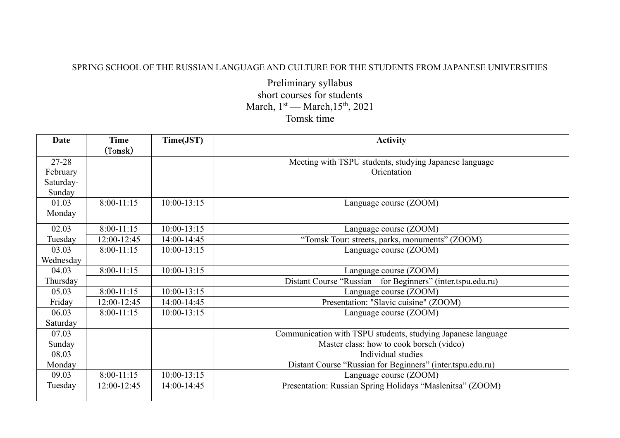## SPRING SCHOOL OF THE RUSSIAN LANGUAGE AND CULTURE FOR THE STUDENTS FROM JAPANESE UNIVERSITIES

Preliminary syllabus short courses for students March,  $1<sup>st</sup>$  — March,  $15<sup>th</sup>$ , 2021 Tomsk time

| Date      | Time         | Time(JST)       | <b>Activity</b>                                              |
|-----------|--------------|-----------------|--------------------------------------------------------------|
|           | (Tomsk)      |                 |                                                              |
| $27 - 28$ |              |                 | Meeting with TSPU students, studying Japanese language       |
| February  |              |                 | Orientation                                                  |
| Saturday- |              |                 |                                                              |
| Sunday    |              |                 |                                                              |
| 01.03     | $8:00-11:15$ | $10:00 - 13:15$ | Language course (ZOOM)                                       |
| Monday    |              |                 |                                                              |
| 02.03     | $8:00-11:15$ | $10:00 - 13:15$ | Language course (ZOOM)                                       |
| Tuesday   | 12:00-12:45  | 14:00-14:45     | "Tomsk Tour: streets, parks, monuments" (ZOOM)               |
| 03.03     | $8:00-11:15$ | $10:00 - 13:15$ | Language course (ZOOM)                                       |
| Wednesday |              |                 |                                                              |
| 04.03     | $8:00-11:15$ | $10:00 - 13:15$ | Language course (ZOOM)                                       |
| Thursday  |              |                 | Distant Course "Russian for Beginners" (inter.tspu.edu.ru)   |
| 05.03     | $8:00-11:15$ | $10:00 - 13:15$ | Language course (ZOOM)                                       |
| Friday    | 12:00-12:45  | 14:00-14:45     | Presentation: "Slavic cuisine" (ZOOM)                        |
| 06.03     | $8:00-11:15$ | $10:00 - 13:15$ | Language course (ZOOM)                                       |
| Saturday  |              |                 |                                                              |
| 07.03     |              |                 | Communication with TSPU students, studying Japanese language |
| Sunday    |              |                 | Master class: how to cook borsch (video)                     |
| 08.03     |              |                 | Individual studies                                           |
| Monday    |              |                 | Distant Course "Russian for Beginners" (inter.tspu.edu.ru)   |
| 09.03     | $8:00-11:15$ | $10:00 - 13:15$ | Language course (ZOOM)                                       |
| Tuesday   | 12:00-12:45  | 14:00-14:45     | Presentation: Russian Spring Holidays "Maslenitsa" (ZOOM)    |
|           |              |                 |                                                              |